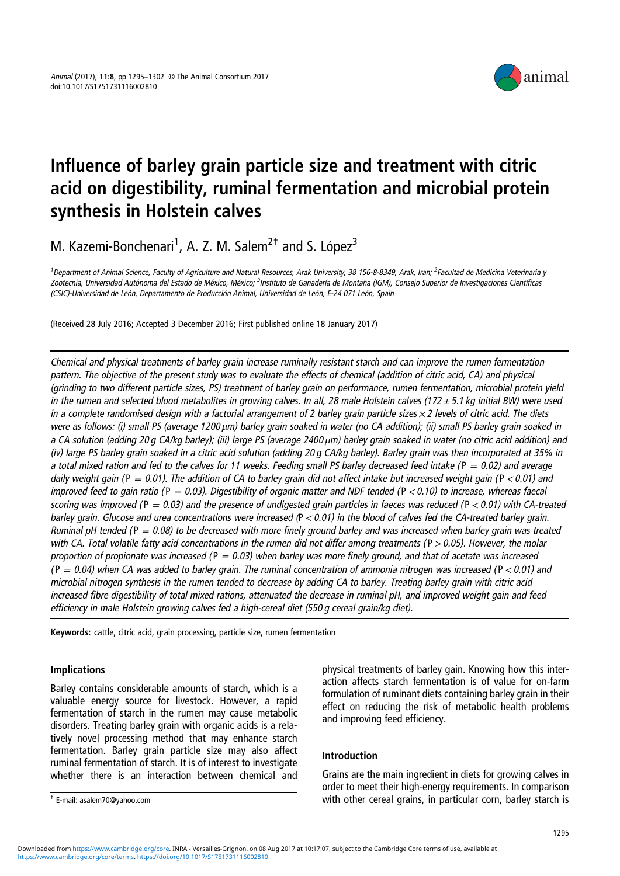

# Influence of barley grain particle size and treatment with citric acid on digestibility, ruminal fermentation and microbial protein synthesis in Holstein calves

M. Kazemi-Bonchenari<sup>1</sup>, A. Z. M. Salem<sup>2†</sup> and S. López<sup>3</sup>

<sup>1</sup> Department of Animal Science, Faculty of Agriculture and Natural Resources, Arak University, 38 156-8-8349, Arak, Iran; <sup>2</sup> Facultad de Medicina Veterinaria y Zootecnia, Universidad Autónoma del Estado de México, México; <sup>3</sup>Instituto de Ganadería de Montaña (IGM), Consejo Superior de Investigaciones Científicas (CSIC)-Universidad de León, Departamento de Producción Animal, Universidad de León, E-24 071 León, Spain

(Received 28 July 2016; Accepted 3 December 2016; First published online 18 January 2017)

Chemical and physical treatments of barley grain increase ruminally resistant starch and can improve the rumen fermentation pattern. The objective of the present study was to evaluate the effects of chemical (addition of citric acid, CA) and physical (grinding to two different particle sizes, PS) treatment of barley grain on performance, rumen fermentation, microbial protein yield in the rumen and selected blood metabolites in growing calves. In all, 28 male Holstein calves (172  $\pm$  5.1 kg initial BW) were used in a complete randomised design with a factorial arrangement of 2 barley grain particle sizes  $\times$  2 levels of citric acid. The diets were as follows: (i) small PS (average 1200 µm) barley grain soaked in water (no CA addition); (ii) small PS barley grain soaked in <sup>a</sup> CA solution (adding 20 g CA/kg barley); (iii) large PS (average 2400 <sup>µ</sup>m) barley grain soaked in water (no citric acid addition) and (iv) large PS barley grain soaked in <sup>a</sup> citric acid solution (adding 20 g CA/kg barley). Barley grain was then incorporated at 35% in a total mixed ration and fed to the calves for 11 weeks. Feeding small PS barley decreased feed intake ( $P = 0.02$ ) and average daily weight gain ( $P = 0.01$ ). The addition of CA to barley grain did not affect intake but increased weight gain ( $P < 0.01$ ) and improved feed to gain ratio ( $P = 0.03$ ). Digestibility of organic matter and NDF tended ( $P < 0.10$ ) to increase, whereas faecal scoring was improved ( $P = 0.03$ ) and the presence of undigested grain particles in faeces was reduced ( $P < 0.01$ ) with CA-treated barley grain. Glucose and urea concentrations were increased  $(P < 0.01)$  in the blood of calves fed the CA-treated barley grain. Ruminal pH tended ( $P = 0.08$ ) to be decreased with more finely ground barley and was increased when barley grain was treated with CA. Total volatile fatty acid concentrations in the rumen did not differ among treatments ( $P > 0.05$ ). However, the molar proportion of propionate was increased ( $P = 0.03$ ) when barley was more finely ground, and that of acetate was increased  $(P = 0.04)$  when CA was added to barley grain. The ruminal concentration of ammonia nitrogen was increased  $(P < 0.01)$  and microbial nitrogen synthesis in the rumen tended to decrease by adding CA to barley. Treating barley grain with citric acid increased fibre digestibility of total mixed rations, attenuated the decrease in ruminal pH, and improved weight gain and feed efficiency in male Holstein growing calves fed <sup>a</sup> high-cereal diet (550 g cereal grain/kg diet).

Keywords: cattle, citric acid, grain processing, particle size, rumen fermentation

# Implications

Barley contains considerable amounts of starch, which is a valuable energy source for livestock. However, a rapid fermentation of starch in the rumen may cause metabolic disorders. Treating barley grain with organic acids is a relatively novel processing method that may enhance starch fermentation. Barley grain particle size may also affect ruminal fermentation of starch. It is of interest to investigate whether there is an interaction between chemical and

physical treatments of barley gain. Knowing how this interaction affects starch fermentation is of value for on-farm formulation of ruminant diets containing barley grain in their effect on reducing the risk of metabolic health problems and improving feed efficiency.

# Introduction

Grains are the main ingredient in diets for growing calves in order to meet their high-energy requirements. In comparison with other cereal grains, in particular corn, barley starch is † E-mail: [asalem70@yahoo.com](mailto:asalem70@yahoo.com)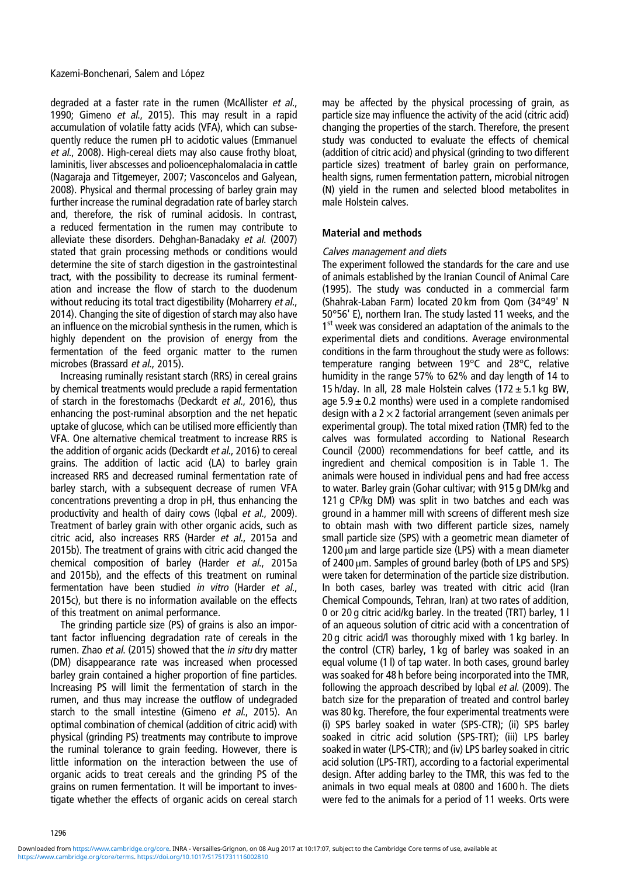Kazemi-Bonchenari, Salem and López

degraded at a faster rate in the rumen (McAllister et al., [1990](#page-7-0); Gimeno et al., [2015](#page-6-0)). This may result in a rapid accumulation of volatile fatty acids (VFA), which can subsequently reduce the rumen pH to acidotic values (Emmanuel et al., [2008](#page-6-0)). High-cereal diets may also cause frothy bloat, laminitis, liver abscesses and polioencephalomalacia in cattle (Nagaraja and Titgemeyer, [2007;](#page-7-0) Vasconcelos and Galyean, [2008](#page-7-0)). Physical and thermal processing of barley grain may further increase the ruminal degradation rate of barley starch and, therefore, the risk of ruminal acidosis. In contrast, a reduced fermentation in the rumen may contribute to alleviate these disorders. Dehghan-Banadaky et al. ([2007\)](#page-6-0) stated that grain processing methods or conditions would determine the site of starch digestion in the gastrointestinal tract, with the possibility to decrease its ruminal fermentation and increase the flow of starch to the duodenum without reducing its total tract digestibility (Moharrery et al., [2014](#page-7-0)). Changing the site of digestion of starch may also have an influence on the microbial synthesis in the rumen, which is highly dependent on the provision of energy from the fermentation of the feed organic matter to the rumen microbes (Brassard *et al.*, [2015](#page-6-0)).

Increasing ruminally resistant starch (RRS) in cereal grains by chemical treatments would preclude a rapid fermentation of starch in the forestomachs (Deckardt et al., [2016\)](#page-6-0), thus enhancing the post-ruminal absorption and the net hepatic uptake of glucose, which can be utilised more efficiently than VFA. One alternative chemical treatment to increase RRS is the addition of organic acids (Deckardt et al., [2016\)](#page-6-0) to cereal grains. The addition of lactic acid (LA) to barley grain increased RRS and decreased ruminal fermentation rate of barley starch, with a subsequent decrease of rumen VFA concentrations preventing a drop in pH, thus enhancing the productivity and health of dairy cows (Iqbal et al., [2009](#page-6-0)). Treatment of barley grain with other organic acids, such as citric acid, also increases RRS (Harder et al., [2015a](#page-6-0) and 201[5b](#page-6-0)). The treatment of grains with citric acid changed the chemical composition of barley (Harder et al., [2015a](#page-6-0) and 201[5b\)](#page-6-0), and the effects of this treatment on ruminal fermentation have been studied *in vitro* (Harder *et al.*, [2015c](#page-6-0)), but there is no information available on the effects of this treatment on animal performance.

The grinding particle size (PS) of grains is also an important factor influencing degradation rate of cereals in the rumen. Zhao et al. ([2015\)](#page-7-0) showed that the *in situ* dry matter (DM) disappearance rate was increased when processed barley grain contained a higher proportion of fine particles. Increasing PS will limit the fermentation of starch in the rumen, and thus may increase the outflow of undegraded starch to the small intestine (Gimeno et al., [2015\)](#page-6-0). An optimal combination of chemical (addition of citric acid) with physical (grinding PS) treatments may contribute to improve the ruminal tolerance to grain feeding. However, there is little information on the interaction between the use of organic acids to treat cereals and the grinding PS of the grains on rumen fermentation. It will be important to investigate whether the effects of organic acids on cereal starch

may be affected by the physical processing of grain, as particle size may influence the activity of the acid (citric acid) changing the properties of the starch. Therefore, the present study was conducted to evaluate the effects of chemical (addition of citric acid) and physical (grinding to two different particle sizes) treatment of barley grain on performance, health signs, rumen fermentation pattern, microbial nitrogen (N) yield in the rumen and selected blood metabolites in male Holstein calves.

## Material and methods

## Calves management and diets

The experiment followed the standards for the care and use of animals established by the Iranian Council of Animal Care [\(1995](#page-6-0)). The study was conducted in a commercial farm (Shahrak-Laban Farm) located 20 km from Qom (34°49' N 50°56' E), northern Iran. The study lasted 11 weeks, and the 1<sup>st</sup> week was considered an adaptation of the animals to the experimental diets and conditions. Average environmental conditions in the farm throughout the study were as follows: temperature ranging between 19°C and 28°C, relative humidity in the range 57% to 62% and day length of 14 to 15 h/day. In all, 28 male Holstein calves  $(172 \pm 5.1 \text{ kg BW})$ age  $5.9 \pm 0.2$  months) were used in a complete randomised design with a  $2 \times 2$  factorial arrangement (seven animals per experimental group). The total mixed ration (TMR) fed to the calves was formulated according to National Research Council ([2000\)](#page-7-0) recommendations for beef cattle, and its ingredient and chemical composition is in [Table 1](#page-2-0). The animals were housed in individual pens and had free access to water. Barley grain (Gohar cultivar; with 915 g DM/kg and 121 g CP/kg DM) was split in two batches and each was ground in a hammer mill with screens of different mesh size to obtain mash with two different particle sizes, namely small particle size (SPS) with a geometric mean diameter of  $1200 \mu m$  and large particle size (LPS) with a mean diameter of 2400 µm. Samples of ground barley (both of LPS and SPS) were taken for determination of the particle size distribution. In both cases, barley was treated with citric acid (Iran Chemical Compounds, Tehran, Iran) at two rates of addition, 0 or 20 g citric acid/kg barley. In the treated (TRT) barley, 1 l of an aqueous solution of citric acid with a concentration of 20 g citric acid/l was thoroughly mixed with 1 kg barley. In the control (CTR) barley, 1 kg of barley was soaked in an equal volume (1 l) of tap water. In both cases, ground barley was soaked for 48 h before being incorporated into the TMR, following the approach described by Iqbal et al. [\(2009](#page-6-0)). The batch size for the preparation of treated and control barley was 80 kg. Therefore, the four experimental treatments were (i) SPS barley soaked in water (SPS-CTR); (ii) SPS barley soaked in citric acid solution (SPS-TRT); (iii) LPS barley soaked in water (LPS-CTR); and (iv) LPS barley soaked in citric acid solution (LPS-TRT), according to a factorial experimental design. After adding barley to the TMR, this was fed to the animals in two equal meals at 0800 and 1600 h. The diets were fed to the animals for a period of 11 weeks. Orts were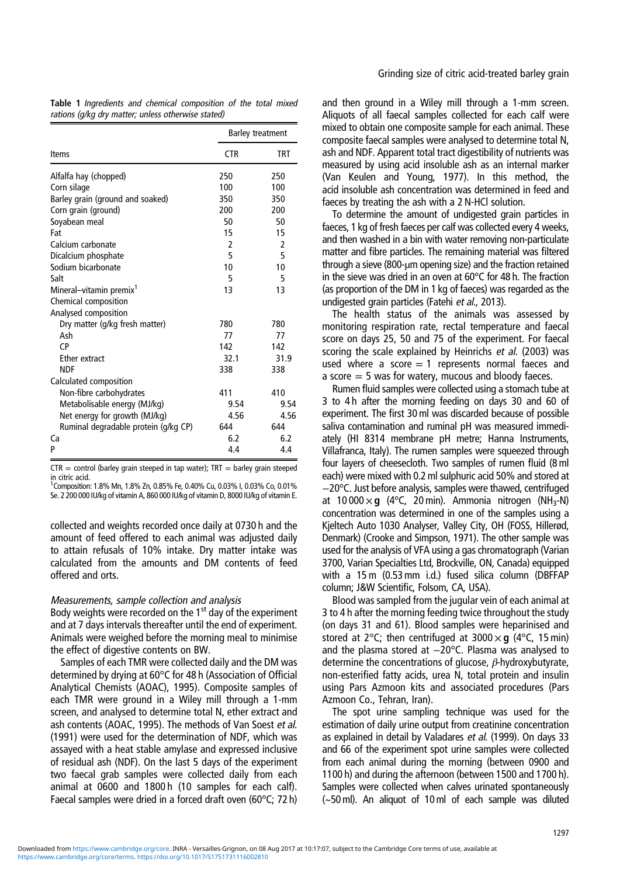<span id="page-2-0"></span>

|  |  | Table 1 Ingredients and chemical composition of the total mixed |  |  |
|--|--|-----------------------------------------------------------------|--|--|
|  |  | rations (g/kg dry matter; unless otherwise stated)              |  |  |

|                                      |            | Barley treatment |
|--------------------------------------|------------|------------------|
| <b>Items</b>                         | <b>CTR</b> | <b>TRT</b>       |
| Alfalfa hay (chopped)                | 250        | 250              |
| Corn silage                          | 100        | 100              |
| Barley grain (ground and soaked)     | 350        | 350              |
| Corn grain (ground)                  | 200        | 200              |
| Soyabean meal                        | 50         | 50               |
| Fat                                  | 15         | 15               |
| Calcium carbonate                    | 2          | 2                |
| Dicalcium phosphate                  | 5          | 5                |
| Sodium bicarbonate                   | 10         | 10               |
| Salt                                 | 5          | 5                |
| Mineral-vitamin premix <sup>1</sup>  | 13         | 13               |
| Chemical composition                 |            |                  |
| Analysed composition                 |            |                  |
| Dry matter (g/kg fresh matter)       | 780        | 780              |
| Ash                                  | 77         | 77               |
| <b>CP</b>                            | 142        | 142              |
| Ether extract                        | 32.1       | 31.9             |
| <b>NDF</b>                           | 338        | 338              |
| Calculated composition               |            |                  |
| Non-fibre carbohydrates              | 411        | 410              |
| Metabolisable energy (MJ/kg)         | 9.54       | 9.54             |
| Net energy for growth (MJ/kg)        | 4.56       | 4.56             |
| Ruminal degradable protein (g/kg CP) | 644        | 644              |
| Ca                                   | 6.2        | 6.2              |
| P                                    | 4.4        | 4.4              |

 $CTR = control$  (barley grain steeped in tap water); TRT = barley grain steeped in citric acid.

1 Composition: 1.8% Mn, 1.8% Zn, 0.85% Fe, 0.40% Cu, 0.03% I, 0.03% Co, 0.01% Se. 2 200 000 IU/kg of vitamin A, 860 000 IU/kg of vitamin D, 8000 IU/kg of vitamin E.

collected and weights recorded once daily at 0730 h and the amount of feed offered to each animal was adjusted daily to attain refusals of 10% intake. Dry matter intake was calculated from the amounts and DM contents of feed offered and orts.

#### Measurements, sample collection and analysis

Body weights were recorded on the 1<sup>st</sup> day of the experiment and at 7 days intervals thereafter until the end of experiment. Animals were weighed before the morning meal to minimise the effect of digestive contents on BW.

Samples of each TMR were collected daily and the DM was determined by drying at 60°C for 48 h (Association of Official Analytical Chemists (AOAC), [1995\)](#page-6-0). Composite samples of each TMR were ground in a Wiley mill through a 1-mm screen, and analysed to determine total N, ether extract and ash contents (AOAC, [1995\)](#page-6-0). The methods of Van Soest et al. [\(1991](#page-7-0)) were used for the determination of NDF, which was assayed with a heat stable amylase and expressed inclusive of residual ash (NDF). On the last 5 days of the experiment two faecal grab samples were collected daily from each animal at 0600 and 1800 h (10 samples for each calf). Faecal samples were dried in a forced draft oven (60°C; 72 h)

and then ground in a Wiley mill through a 1-mm screen. Aliquots of all faecal samples collected for each calf were mixed to obtain one composite sample for each animal. These composite faecal samples were analysed to determine total N, ash and NDF. Apparent total tract digestibility of nutrients was measured by using acid insoluble ash as an internal marker (Van Keulen and Young, [1977](#page-7-0)). In this method, the acid insoluble ash concentration was determined in feed and faeces by treating the ash with a 2 N-HCl solution.

To determine the amount of undigested grain particles in faeces, 1 kg of fresh faeces per calf was collected every 4 weeks, and then washed in a bin with water removing non-particulate matter and fibre particles. The remaining material was filtered through a sieve (800-µm opening size) and the fraction retained in the sieve was dried in an oven at 60°C for 48 h. The fraction (as proportion of the DM in 1 kg of faeces) was regarded as the undigested grain particles (Fatehi et al., [2013](#page-6-0)).

The health status of the animals was assessed by monitoring respiration rate, rectal temperature and faecal score on days 25, 50 and 75 of the experiment. For faecal scoring the scale explained by Heinrichs et al. [\(2003](#page-6-0)) was used where a score  $= 1$  represents normal faeces and a score  $=$  5 was for watery, mucous and bloody faeces.

Rumen fluid samples were collected using a stomach tube at 3 to 4h after the morning feeding on days 30 and 60 of experiment. The first 30 ml was discarded because of possible saliva contamination and ruminal pH was measured immediately (HI 8314 membrane pH metre; Hanna Instruments, Villafranca, Italy). The rumen samples were squeezed through four layers of cheesecloth. Two samples of rumen fluid (8 ml each) were mixed with 0.2 ml sulphuric acid 50% and stored at −20°C. Just before analysis, samples were thawed, centrifuged at 10 000  $\times$  g (4°C, 20 min). Ammonia nitrogen (NH<sub>3</sub>-N) concentration was determined in one of the samples using a Kjeltech Auto 1030 Analyser, Valley City, OH (FOSS, Hillerød, Denmark) (Crooke and Simpson, [1971\)](#page-6-0). The other sample was used for the analysis of VFA using a gas chromatograph (Varian 3700, Varian Specialties Ltd, Brockville, ON, Canada) equipped with a 15 m (0.53 mm i.d.) fused silica column (DBFFAP column; J&W Scientific, Folsom, CA, USA).

Blood was sampled from the jugular vein of each animal at 3 to 4 h after the morning feeding twice throughout the study (on days 31 and 61). Blood samples were heparinised and stored at 2°C; then centrifuged at 3000  $\times$  g (4°C, 15 min) and the plasma stored at −20°C. Plasma was analysed to determine the concentrations of glucose,  $\beta$ -hydroxybutyrate, non-esterified fatty acids, urea N, total protein and insulin using Pars Azmoon kits and associated procedures (Pars Azmoon Co., Tehran, Iran).

The spot urine sampling technique was used for the estimation of daily urine output from creatinine concentration as explained in detail by Valadares et al. [\(1999\)](#page-7-0). On days 33 and 66 of the experiment spot urine samples were collected from each animal during the morning (between 0900 and 1100 h) and during the afternoon (between 1500 and 1700 h). Samples were collected when calves urinated spontaneously (~50 ml). An aliquot of 10 ml of each sample was diluted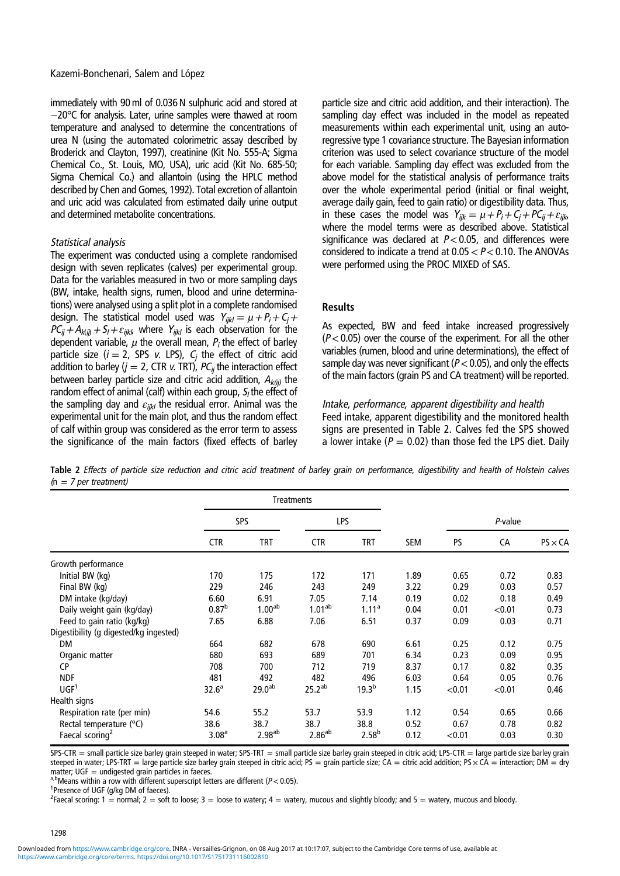Kazemi-Bonchenari, Salem and López

immediately with 90 ml of 0.036 N sulphuric acid and stored at −20°C for analysis. Later, urine samples were thawed at room temperature and analysed to determine the concentrations of urea N (using the automated colorimetric assay described by Broderick and Clayton, [1997](#page-6-0)), creatinine (Kit No. 555-A; Sigma Chemical Co., St. Louis, MO, USA), uric acid (Kit No. 685-50; Sigma Chemical Co.) and allantoin (using the HPLC method described by Chen and Gomes, [1992\)](#page-6-0). Total excretion of allantoin and uric acid was calculated from estimated daily urine output and determined metabolite concentrations.

#### Statistical analysis

The experiment was conducted using a complete randomised design with seven replicates (calves) per experimental group. Data for the variables measured in two or more sampling days (BW, intake, health signs, rumen, blood and urine determinations) were analysed using a split plot in a complete randomised design. The statistical model used was  $Y_{iikl} = \mu + P_i + C_i +$  $PC_{ij}+A_{k(ij)}+S_l+\varepsilon_{ijkl}$  where  $Y_{ijkl}$  is each observation for the dependent variable,  $\mu$  the overall mean,  $P_i$  the effect of barley particle size ( $i = 2$ , SPS v. LPS),  $C_i$  the effect of citric acid addition to barley ( $j = 2$ , CTR v. TRT), PC<sub>ij</sub> the interaction effect between barley particle size and citric acid addition,  $A_{k(ij)}$  the random effect of animal (calf) within each group,  $S_l$  the effect of the sampling day and  $\varepsilon_{ijkl}$  the residual error. Animal was the experimental unit for the main plot, and thus the random effect of calf within group was considered as the error term to assess the significance of the main factors (fixed effects of barley

particle size and citric acid addition, and their interaction). The sampling day effect was included in the model as repeated measurements within each experimental unit, using an autoregressive type 1 covariance structure. The Bayesian information criterion was used to select covariance structure of the model for each variable. Sampling day effect was excluded from the above model for the statistical analysis of performance traits over the whole experimental period (initial or final weight, average daily gain, feed to gain ratio) or digestibility data. Thus, in these cases the model was  $Y_{ijk} = \mu + P_i + C_j + PC_{ij} + \varepsilon_{ijk}$ where the model terms were as described above. Statistical significance was declared at  $P < 0.05$ , and differences were considered to indicate a trend at  $0.05 < P < 0.10$ . The ANOVAs were performed using the PROC MIXED of SAS.

## Results

As expected, BW and feed intake increased progressively  $(P<0.05)$  over the course of the experiment. For all the other variables (rumen, blood and urine determinations), the effect of sample day was never significant ( $P < 0.05$ ), and only the effects of the main factors (grain PS and CA treatment) will be reported.

## Intake, performance, apparent digestibility and health Feed intake, apparent digestibility and the monitored health signs are presented in Table 2. Calves fed the SPS showed a lower intake ( $P = 0.02$ ) than those fed the LPS diet. Daily

Table 2 Effects of particle size reduction and citric acid treatment of barley grain on performance, digestibility and health of Holstein calves  $(n = 7$  per treatment)

|                                        |                   | <b>Treatments</b>  |             |                   |            |        |         |                |  |
|----------------------------------------|-------------------|--------------------|-------------|-------------------|------------|--------|---------|----------------|--|
|                                        |                   | <b>SPS</b>         |             | LPS.              |            |        | P-value |                |  |
|                                        | <b>CTR</b>        | <b>TRT</b>         | <b>CTR</b>  | TRT               | <b>SEM</b> | PS     | CA      | $PS \times CA$ |  |
| Growth performance                     |                   |                    |             |                   |            |        |         |                |  |
| Initial BW (kg)                        | 170               | 175                | 172         | 171               | 1.89       | 0.65   | 0.72    | 0.83           |  |
| Final BW (kg)                          | 229               | 246                | 243         | 249               | 3.22       | 0.29   | 0.03    | 0.57           |  |
| DM intake (kg/day)                     | 6.60              | 6.91               | 7.05        | 7.14              | 0.19       | 0.02   | 0.18    | 0.49           |  |
| Daily weight gain (kg/day)             | $0.87^{b}$        | 1.00 <sup>ab</sup> | $1.01^{ab}$ | 1.11 <sup>a</sup> | 0.04       | 0.01   | < 0.01  | 0.73           |  |
| Feed to gain ratio (kg/kg)             | 7.65              | 6.88               | 7.06        | 6.51              | 0.37       | 0.09   | 0.03    | 0.71           |  |
| Digestibility (g digested/kg ingested) |                   |                    |             |                   |            |        |         |                |  |
| DM                                     | 664               | 682                | 678         | 690               | 6.61       | 0.25   | 0.12    | 0.75           |  |
| Organic matter                         | 680               | 693                | 689         | 701               | 6.34       | 0.23   | 0.09    | 0.95           |  |
| <b>CP</b>                              | 708               | 700                | 712         | 719               | 8.37       | 0.17   | 0.82    | 0.35           |  |
| <b>NDF</b>                             | 481               | 492                | 482         | 496               | 6.03       | 0.64   | 0.05    | 0.76           |  |
| UGF <sup>1</sup>                       | 32.6 <sup>a</sup> | 29.0 <sup>ab</sup> | $25.2^{ab}$ | $19.3^{b}$        | 1.15       | < 0.01 | < 0.01  | 0.46           |  |
| Health signs                           |                   |                    |             |                   |            |        |         |                |  |
| Respiration rate (per min)             | 54.6              | 55.2               | 53.7        | 53.9              | 1.12       | 0.54   | 0.65    | 0.66           |  |
| Rectal temperature (°C)                | 38.6              | 38.7               | 38.7        | 38.8              | 0.52       | 0.67   | 0.78    | 0.82           |  |
| Faecal scoring <sup>2</sup>            | 3.08 <sup>a</sup> | 2.98 <sup>ab</sup> | $2.86^{ab}$ | 2.58 <sup>b</sup> | 0.12       | < 0.01 | 0.03    | 0.30           |  |

 $SPS-CTR = small$  particle size barley grain steeped in water;  $SPS-TR = small$  particle size barley grain steeped in citric acid; LPS-CTR = large particle size barley grain steeped in water; LPS-TRT = large particle size barley grain steeped in citric acid; PS = grain particle size; CA = citric acid addition; PS  $\times$  CA = interaction; DM = dry<br>matter: UGF = undigested grain particles in faec

a,bMeans within a row with different superscript letters are different ( $P < 0.05$ ).

<sup>1</sup> Presence of UGF (g/kg DM of faeces).

<sup>2</sup> Faecal scoring: 1 = normal; 2 = soft to loose; 3 = loose to watery; 4 = watery, mucous and slightly bloody; and 5 = watery, mucous and bloody.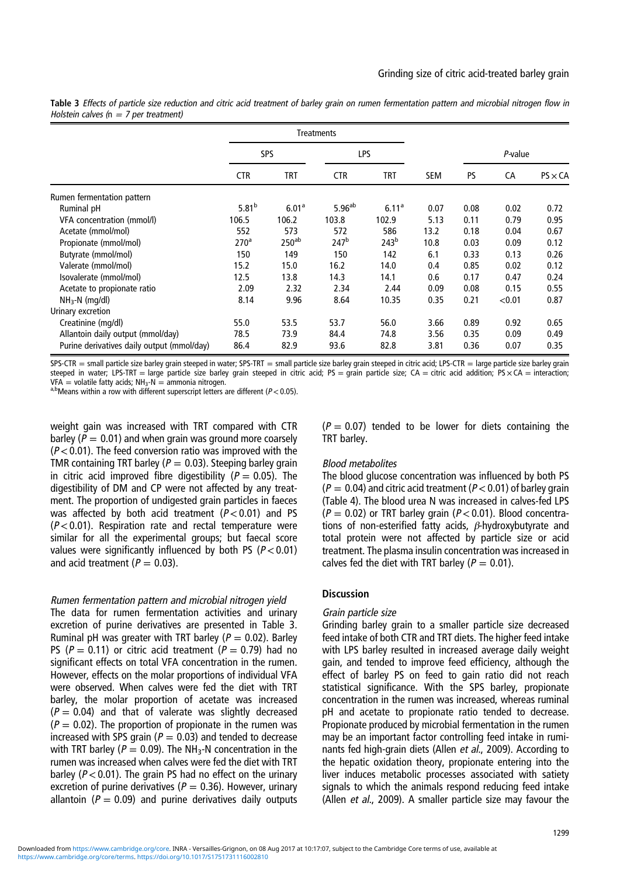Table 3 Effects of particle size reduction and citric acid treatment of barley grain on rumen fermentation pattern and microbial nitrogen flow in Holstein calves ( $n = 7$  per treatment)

|                                            | <b>Treatments</b> |                   |                    |                   |            |           |        |                |
|--------------------------------------------|-------------------|-------------------|--------------------|-------------------|------------|-----------|--------|----------------|
|                                            | <b>SPS</b>        |                   | <b>LPS</b>         |                   |            | P-value   |        |                |
|                                            | <b>CTR</b>        | <b>TRT</b>        | <b>CTR</b>         | TRT               | <b>SEM</b> | <b>PS</b> | CA     | $PS \times CA$ |
| Rumen fermentation pattern                 |                   |                   |                    |                   |            |           |        |                |
| Ruminal pH                                 | 5.81 <sup>b</sup> | 6.01 <sup>a</sup> | 5.96 <sup>ab</sup> | 6.11 <sup>a</sup> | 0.07       | 0.08      | 0.02   | 0.72           |
| VFA concentration (mmol/l)                 | 106.5             | 106.2             | 103.8              | 102.9             | 5.13       | 0.11      | 0.79   | 0.95           |
| Acetate (mmol/mol)                         | 552               | 573               | 572                | 586               | 13.2       | 0.18      | 0.04   | 0.67           |
| Propionate (mmol/mol)                      | 270 <sup>a</sup>  | $250^{ab}$        | 247 <sup>b</sup>   | 243 <sup>b</sup>  | 10.8       | 0.03      | 0.09   | 0.12           |
| Butyrate (mmol/mol)                        | 150               | 149               | 150                | 142               | 6.1        | 0.33      | 0.13   | 0.26           |
| Valerate (mmol/mol)                        | 15.2              | 15.0              | 16.2               | 14.0              | 0.4        | 0.85      | 0.02   | 0.12           |
| Isovalerate (mmol/mol)                     | 12.5              | 13.8              | 14.3               | 14.1              | 0.6        | 0.17      | 0.47   | 0.24           |
| Acetate to propionate ratio                | 2.09              | 2.32              | 2.34               | 2.44              | 0.09       | 0.08      | 0.15   | 0.55           |
| $NH3-N$ (mg/dl)                            | 8.14              | 9.96              | 8.64               | 10.35             | 0.35       | 0.21      | < 0.01 | 0.87           |
| Urinary excretion                          |                   |                   |                    |                   |            |           |        |                |
| Creatinine (mg/dl)                         | 55.0              | 53.5              | 53.7               | 56.0              | 3.66       | 0.89      | 0.92   | 0.65           |
| Allantoin daily output (mmol/day)          | 78.5              | 73.9              | 84.4               | 74.8              | 3.56       | 0.35      | 0.09   | 0.49           |
| Purine derivatives daily output (mmol/day) | 86.4              | 82.9              | 93.6               | 82.8              | 3.81       | 0.36      | 0.07   | 0.35           |

 $SPS-CTR = small$  particle size barley grain steeped in water;  $SPS-TR = small$  particle size barley grain steeped in citric acid; LPS-CTR = large particle size barley grain steeped in water; LPS-TRT = large particle size barley grain steeped in citric acid; PS = grain particle size; CA = citric acid addition; PS  $\times$  CA = interaction;<br>VFA = volatile fatty acids; NH<sub>3</sub>-N = ammonia nitrogen.

a,bMeans within a row with different superscript letters are different ( $P$  < 0.05).

weight gain was increased with TRT compared with CTR barley ( $P = 0.01$ ) and when grain was ground more coarsely  $(P<0.01)$ . The feed conversion ratio was improved with the TMR containing TRT barley ( $P = 0.03$ ). Steeping barley grain in citric acid improved fibre digestibility ( $P = 0.05$ ). The digestibility of DM and CP were not affected by any treatment. The proportion of undigested grain particles in faeces was affected by both acid treatment  $(P < 0.01)$  and PS  $(P<0.01)$ . Respiration rate and rectal temperature were similar for all the experimental groups; but faecal score values were significantly influenced by both PS ( $P < 0.01$ ) and acid treatment ( $P = 0.03$ ).

## Rumen fermentation pattern and microbial nitrogen yield

The data for rumen fermentation activities and urinary excretion of purine derivatives are presented in Table 3. Ruminal pH was greater with TRT barley ( $P = 0.02$ ). Barley PS ( $P = 0.11$ ) or citric acid treatment ( $P = 0.79$ ) had no significant effects on total VFA concentration in the rumen. However, effects on the molar proportions of individual VFA were observed. When calves were fed the diet with TRT barley, the molar proportion of acetate was increased  $(P = 0.04)$  and that of valerate was slightly decreased  $(P = 0.02)$ . The proportion of propionate in the rumen was increased with SPS grain ( $P = 0.03$ ) and tended to decrease with TRT barley ( $P = 0.09$ ). The NH<sub>3</sub>-N concentration in the rumen was increased when calves were fed the diet with TRT barley ( $P < 0.01$ ). The grain PS had no effect on the urinary excretion of purine derivatives ( $P = 0.36$ ). However, urinary allantoin ( $P = 0.09$ ) and purine derivatives daily outputs

 $(P = 0.07)$  tended to be lower for diets containing the TRT barley.

## Blood metabolites

The blood glucose concentration was influenced by both PS  $(P = 0.04)$  and citric acid treatment  $(P < 0.01)$  of barley grain [\(Table 4](#page-5-0)). The blood urea N was increased in calves-fed LPS  $(P = 0.02)$  or TRT barley grain  $(P < 0.01)$ . Blood concentrations of non-esterified fatty acids,  $\beta$ -hydroxybutyrate and total protein were not affected by particle size or acid treatment. The plasma insulin concentration was increased in calves fed the diet with TRT barley ( $P = 0.01$ ).

#### **Discussion**

#### Grain particle size

Grinding barley grain to a smaller particle size decreased feed intake of both CTR and TRT diets. The higher feed intake with LPS barley resulted in increased average daily weight gain, and tended to improve feed efficiency, although the effect of barley PS on feed to gain ratio did not reach statistical significance. With the SPS barley, propionate concentration in the rumen was increased, whereas ruminal pH and acetate to propionate ratio tended to decrease. Propionate produced by microbial fermentation in the rumen may be an important factor controlling feed intake in ruminants fed high-grain diets (Allen et al., [2009](#page-6-0)). According to the hepatic oxidation theory, propionate entering into the liver induces metabolic processes associated with satiety signals to which the animals respond reducing feed intake (Allen et al., [2009](#page-6-0)). A smaller particle size may favour the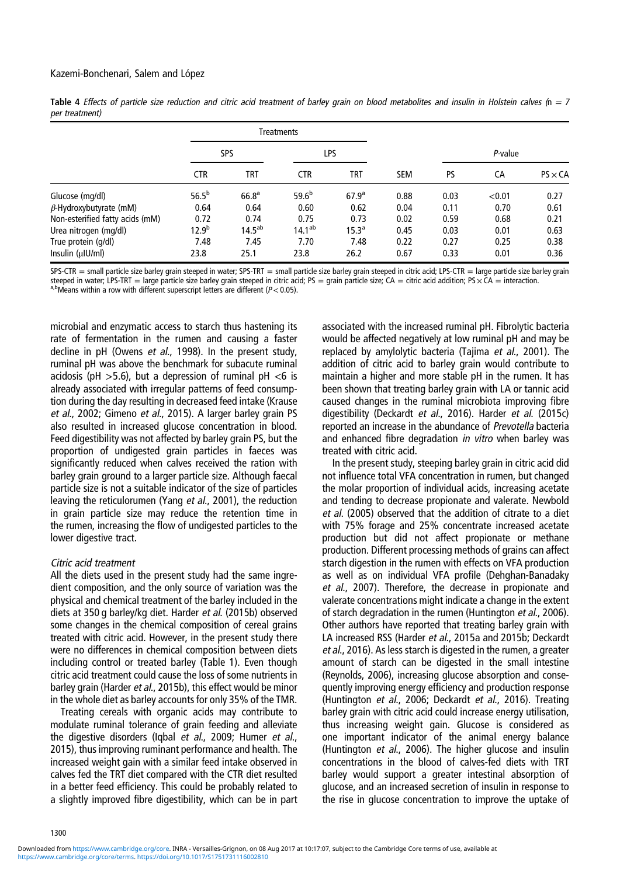|                                 |            |                   | <b>Treatments</b> |                   |            |         |        |                |
|---------------------------------|------------|-------------------|-------------------|-------------------|------------|---------|--------|----------------|
|                                 |            | <b>SPS</b>        | LPS               |                   |            | P-value |        |                |
|                                 | <b>CTR</b> | TRT               | <b>CTR</b>        | TRT               | <b>SEM</b> | PS      | CA     | $PS \times CA$ |
| Glucose (mg/dl)                 | $56.5^{b}$ | 66.8 <sup>a</sup> | 59.6 <sup>b</sup> | 67.9 <sup>a</sup> | 0.88       | 0.03    | < 0.01 | 0.27           |
| $\beta$ -Hydroxybutyrate (mM)   | 0.64       | 0.64              | 0.60              | 0.62              | 0.04       | 0.11    | 0.70   | 0.61           |
| Non-esterified fatty acids (mM) | 0.72       | 0.74              | 0.75              | 0.73              | 0.02       | 0.59    | 0.68   | 0.21           |
| Urea nitrogen (mg/dl)           | $12.9^{b}$ | $14.5^{ab}$       | $14.1^{ab}$       | $15.3^{\circ}$    | 0.45       | 0.03    | 0.01   | 0.63           |
| True protein (g/dl)             | 7.48       | 7.45              | 7.70              | 7.48              | 0.22       | 0.27    | 0.25   | 0.38           |
| Insulin (uIU/ml)                | 23.8       | 25.1              | 23.8              | 26.2              | 0.67       | 0.33    | 0.01   | 0.36           |

<span id="page-5-0"></span>Table 4 Effects of particle size reduction and citric acid treatment of barley grain on blood metabolites and insulin in Holstein calves (n = 7 per treatment)

 $SPS-CTR = small$  particle size barley grain steeped in water;  $SPS-TR = small$  particle size barley grain steeped in citric acid; LPS-CTR = large particle size barley grain steeped in water; LPS-TRT = large particle size barley grain steeped in citric acid; PS = grain particle size; CA = citric acid addition; PS  $\times$  CA = interaction. a,b<sub>Means</sub> within a row with different superscript letters are different ( $P < 0.05$ ).

microbial and enzymatic access to starch thus hastening its rate of fermentation in the rumen and causing a faster decline in pH (Owens et al., [1998\)](#page-7-0). In the present study, ruminal pH was above the benchmark for subacute ruminal acidosis (pH  $>$  5.6), but a depression of ruminal pH  $<$  6 is already associated with irregular patterns of feed consumption during the day resulting in decreased feed intake (Krause et al., [2002;](#page-7-0) Gimeno et al., [2015](#page-6-0)). A larger barley grain PS also resulted in increased glucose concentration in blood. Feed digestibility was not affected by barley grain PS, but the proportion of undigested grain particles in faeces was significantly reduced when calves received the ration with barley grain ground to a larger particle size. Although faecal particle size is not a suitable indicator of the size of particles leaving the reticulorumen (Yang et al., [2001\)](#page-7-0), the reduction in grain particle size may reduce the retention time in the rumen, increasing the flow of undigested particles to the lower digestive tract.

#### Citric acid treatment

All the diets used in the present study had the same ingredient composition, and the only source of variation was the physical and chemical treatment of the barley included in the diets at 350 g barley/kg diet. Harder et al. [\(2015b](#page-6-0)) observed some changes in the chemical composition of cereal grains treated with citric acid. However, in the present study there were no differences in chemical composition between diets including control or treated barley ([Table 1](#page-2-0)). Even though citric acid treatment could cause the loss of some nutrients in barley grain (Harder et al., [2015b\)](#page-6-0), this effect would be minor in the whole diet as barley accounts for only 35% of the TMR.

Treating cereals with organic acids may contribute to modulate ruminal tolerance of grain feeding and alleviate the digestive disorders (Iqbal et al., [2009;](#page-6-0) Humer et al., [2015](#page-6-0)), thus improving ruminant performance and health. The increased weight gain with a similar feed intake observed in calves fed the TRT diet compared with the CTR diet resulted in a better feed efficiency. This could be probably related to a slightly improved fibre digestibility, which can be in part associated with the increased ruminal pH. Fibrolytic bacteria would be affected negatively at low ruminal pH and may be replaced by amylolytic bacteria (Tajima et al., [2001\)](#page-7-0). The addition of citric acid to barley grain would contribute to maintain a higher and more stable pH in the rumen. It has been shown that treating barley grain with LA or tannic acid caused changes in the ruminal microbiota improving fibre digestibility (Deckardt et al., [2016](#page-6-0)). Harder et al. ([2015c\)](#page-6-0) reported an increase in the abundance of Prevotella bacteria and enhanced fibre degradation in vitro when barley was treated with citric acid.

In the present study, steeping barley grain in citric acid did not influence total VFA concentration in rumen, but changed the molar proportion of individual acids, increasing acetate and tending to decrease propionate and valerate. Newbold et al. [\(2005](#page-7-0)) observed that the addition of citrate to a diet with 75% forage and 25% concentrate increased acetate production but did not affect propionate or methane production. Different processing methods of grains can affect starch digestion in the rumen with effects on VFA production as well as on individual VFA profile (Dehghan-Banadaky et al., [2007](#page-6-0)). Therefore, the decrease in propionate and valerate concentrations might indicate a change in the extent of starch degradation in the rumen (Huntington et al., [2006](#page-6-0)). Other authors have reported that treating barley grain with LA increased RSS (Harder et al., [2015a](#page-6-0) and 201[5b](#page-6-0); Deckardt et al., [2016](#page-6-0)). As less starch is digested in the rumen, a greater amount of starch can be digested in the small intestine (Reynolds, [2006](#page-7-0)), increasing glucose absorption and consequently improving energy efficiency and production response (Huntington et al., [2006;](#page-6-0) Deckardt et al., [2016](#page-6-0)). Treating barley grain with citric acid could increase energy utilisation, thus increasing weight gain. Glucose is considered as one important indicator of the animal energy balance (Huntington et al., [2006\)](#page-6-0). The higher glucose and insulin concentrations in the blood of calves-fed diets with TRT barley would support a greater intestinal absorption of glucose, and an increased secretion of insulin in response to the rise in glucose concentration to improve the uptake of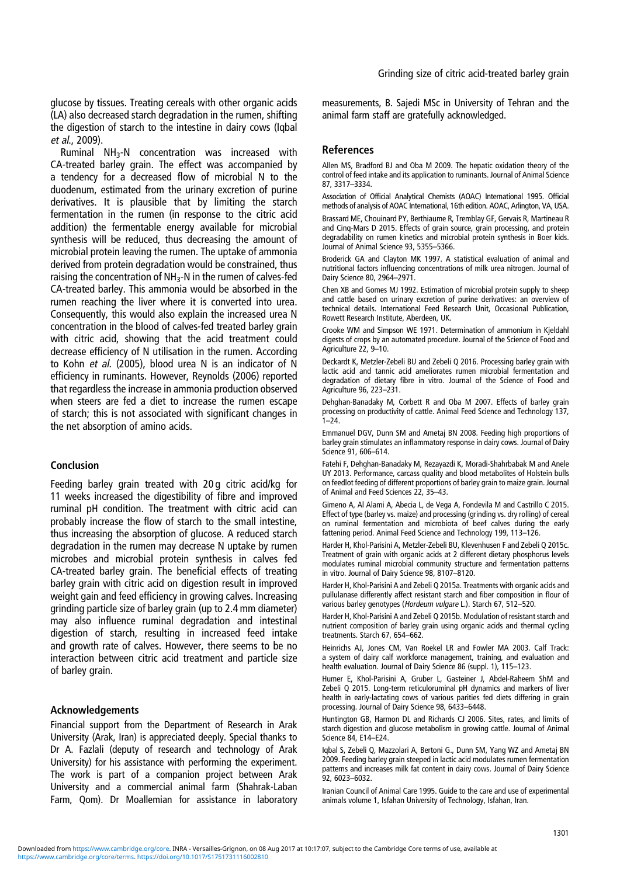<span id="page-6-0"></span>glucose by tissues. Treating cereals with other organic acids (LA) also decreased starch degradation in the rumen, shifting the digestion of starch to the intestine in dairy cows (Iqbal et al., 2009).

Ruminal  $NH<sub>3</sub>$ -N concentration was increased with CA-treated barley grain. The effect was accompanied by a tendency for a decreased flow of microbial N to the duodenum, estimated from the urinary excretion of purine derivatives. It is plausible that by limiting the starch fermentation in the rumen (in response to the citric acid addition) the fermentable energy available for microbial synthesis will be reduced, thus decreasing the amount of microbial protein leaving the rumen. The uptake of ammonia derived from protein degradation would be constrained, thus raising the concentration of  $NH<sub>3</sub>-N$  in the rumen of calves-fed CA-treated barley. This ammonia would be absorbed in the rumen reaching the liver where it is converted into urea. Consequently, this would also explain the increased urea N concentration in the blood of calves-fed treated barley grain with citric acid, showing that the acid treatment could decrease efficiency of N utilisation in the rumen. According to Kohn et al. [\(2005](#page-7-0)), blood urea N is an indicator of N efficiency in ruminants. However, Reynolds [\(2006](#page-7-0)) reported that regardless the increase in ammonia production observed when steers are fed a diet to increase the rumen escape of starch; this is not associated with significant changes in the net absorption of amino acids.

## Conclusion

Feeding barley grain treated with 20 g citric acid/kg for 11 weeks increased the digestibility of fibre and improved ruminal pH condition. The treatment with citric acid can probably increase the flow of starch to the small intestine, thus increasing the absorption of glucose. A reduced starch degradation in the rumen may decrease N uptake by rumen microbes and microbial protein synthesis in calves fed CA-treated barley grain. The beneficial effects of treating barley grain with citric acid on digestion result in improved weight gain and feed efficiency in growing calves. Increasing grinding particle size of barley grain (up to 2.4 mm diameter) may also influence ruminal degradation and intestinal digestion of starch, resulting in increased feed intake and growth rate of calves. However, there seems to be no interaction between citric acid treatment and particle size of barley grain.

## Acknowledgements

Financial support from the Department of Research in Arak University (Arak, Iran) is appreciated deeply. Special thanks to Dr A. Fazlali (deputy of research and technology of Arak University) for his assistance with performing the experiment. The work is part of a companion project between Arak University and a commercial animal farm (Shahrak-Laban Farm, Qom). Dr Moallemian for assistance in laboratory

measurements, B. Sajedi MSc in University of Tehran and the animal farm staff are gratefully acknowledged.

#### References

Allen MS, Bradford BJ and Oba M 2009. The hepatic oxidation theory of the control of feed intake and its application to ruminants. Journal of Animal Science 87, 3317–3334.

Association of Official Analytical Chemists (AOAC) International 1995. Official methods of analysis of AOAC International, 16th edition. AOAC, Arlington, VA, USA.

Brassard ME, Chouinard PY, Berthiaume R, Tremblay GF, Gervais R, Martineau R and Cinq-Mars D 2015. Effects of grain source, grain processing, and protein degradability on rumen kinetics and microbial protein synthesis in Boer kids. Journal of Animal Science 93, 5355–5366.

Broderick GA and Clayton MK 1997. A statistical evaluation of animal and nutritional factors influencing concentrations of milk urea nitrogen. Journal of Dairy Science 80, 2964–2971.

Chen XB and Gomes MJ 1992. Estimation of microbial protein supply to sheep and cattle based on urinary excretion of purine derivatives: an overview of technical details. International Feed Research Unit, Occasional Publication, Rowett Research Institute, Aberdeen, UK.

Crooke WM and Simpson WE 1971. Determination of ammonium in Kjeldahl digests of crops by an automated procedure. Journal of the Science of Food and Agriculture 22, 9–10.

Deckardt K, Metzler-Zebeli BU and Zebeli Q 2016. Processing barley grain with lactic acid and tannic acid ameliorates rumen microbial fermentation and degradation of dietary fibre in vitro. Journal of the Science of Food and Agriculture 96, 223–231.

Dehghan-Banadaky M, Corbett R and Oba M 2007. Effects of barley grain processing on productivity of cattle. Animal Feed Science and Technology 137,  $1 - 24$ 

Emmanuel DGV, Dunn SM and Ametaj BN 2008. Feeding high proportions of barley grain stimulates an inflammatory response in dairy cows. Journal of Dairy Science 91, 606–614.

Fatehi F, Dehghan-Banadaky M, Rezayazdi K, Moradi-Shahrbabak M and Anele UY 2013. Performance, carcass quality and blood metabolites of Holstein bulls on feedlot feeding of different proportions of barley grain to maize grain. Journal of Animal and Feed Sciences 22, 35–43.

Gimeno A, Al Alami A, Abecia L, de Vega A, Fondevila M and Castrillo C 2015. Effect of type (barley vs. maize) and processing (grinding vs. dry rolling) of cereal on ruminal fermentation and microbiota of beef calves during the early fattening period. Animal Feed Science and Technology 199, 113–126.

Harder H, Khol-Parisini A, Metzler-Zebeli BU, Klevenhusen F and Zebeli Q 2015c. Treatment of grain with organic acids at 2 different dietary phosphorus levels modulates ruminal microbial community structure and fermentation patterns in vitro. Journal of Dairy Science 98, 8107–8120.

Harder H, Khol-Parisini A and Zebeli Q 2015a. Treatments with organic acids and pullulanase differently affect resistant starch and fiber composition in flour of various barley genotypes (Hordeum vulgare L.). Starch 67, 512–520.

Harder H, Khol-Parisini A and Zebeli Q 2015b. Modulation of resistant starch and nutrient composition of barley grain using organic acids and thermal cycling treatments. Starch 67, 654–662.

Heinrichs AJ, Jones CM, Van Roekel LR and Fowler MA 2003. Calf Track: a system of dairy calf workforce management, training, and evaluation and health evaluation. Journal of Dairy Science 86 (suppl. 1), 115–123.

Humer E, Khol-Parisini A, Gruber L, Gasteiner J, Abdel-Raheem ShM and Zebeli Q 2015. Long-term reticuloruminal pH dynamics and markers of liver health in early-lactating cows of various parities fed diets differing in grain processing. Journal of Dairy Science 98, 6433–6448.

Huntington GB, Harmon DL and Richards CJ 2006. Sites, rates, and limits of starch digestion and glucose metabolism in growing cattle. Journal of Animal Science 84, E14–E24.

Iqbal S, Zebeli Q, Mazzolari A, Bertoni G., Dunn SM, Yang WZ and Ametaj BN 2009. Feeding barley grain steeped in lactic acid modulates rumen fermentation patterns and increases milk fat content in dairy cows. Journal of Dairy Science 92, 6023–6032.

Iranian Council of Animal Care 1995. Guide to the care and use of experimental animals volume 1, Isfahan University of Technology, Isfahan, Iran.